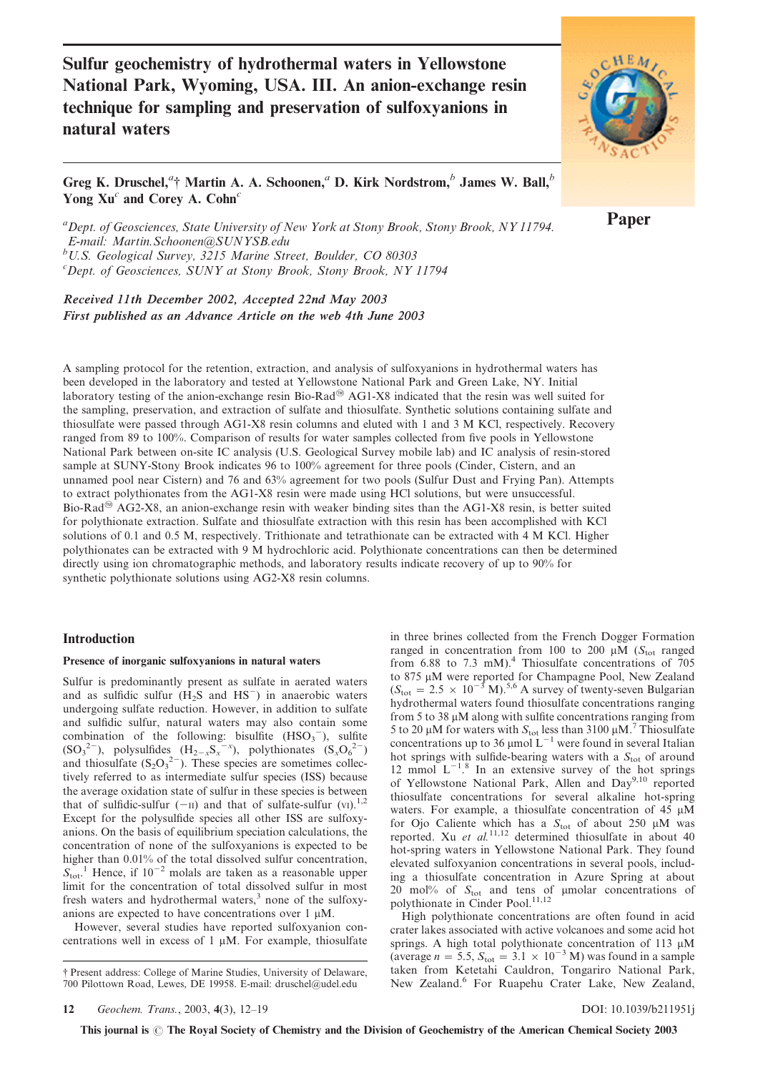Sulfur geochemistry of hydrothermal waters in Yellowstone National Park, Wyoming, USA. III. An anion-exchange resin technique for sampling and preservation of sulfoxyanions in natural waters



Greg K. Druschel,<sup>*a*</sup>† Martin A. A. Schoonen,<sup>*a*</sup> D. Kirk Nordstrom,<sup>*b*</sup> James W. Ball,<sup>*b*</sup> Yong  $Xu^c$  and Corey A. Cohn<sup>c</sup>

<sup>a</sup> Dept. of Geosciences, State University of New York at Stony Brook, Stony Brook, NY 11794. E-mail: Martin.Schoonen@SUNYSB.edu  $b$ U.S. Geological Survey, 3215 Marine Street, Boulder, CO 80303

<sup>c</sup>Dept. of Geosciences, SUNY at Stony Brook, Stony Brook, NY 11794

Received 11th December 2002, Accepted 22nd May 2003 First published as an Advance Article on the web 4th June 2003

A sampling protocol for the retention, extraction, and analysis of sulfoxyanions in hydrothermal waters has been developed in the laboratory and tested at Yellowstone National Park and Green Lake, NY. Initial laboratory testing of the anion-exchange resin Bio-Rad<sup>®</sup> AG1-X8 indicated that the resin was well suited for the sampling, preservation, and extraction of sulfate and thiosulfate. Synthetic solutions containing sulfate and thiosulfate were passed through AG1-X8 resin columns and eluted with 1 and 3 M KCl, respectively. Recovery ranged from 89 to 100%. Comparison of results for water samples collected from five pools in Yellowstone National Park between on-site IC analysis (U.S. Geological Survey mobile lab) and IC analysis of resin-stored sample at SUNY-Stony Brook indicates 96 to 100% agreement for three pools (Cinder, Cistern, and an unnamed pool near Cistern) and 76 and 63% agreement for two pools (Sulfur Dust and Frying Pan). Attempts to extract polythionates from the AG1-X8 resin were made using HCl solutions, but were unsuccessful. Bio-Rad<sup>®</sup> AG2-X8, an anion-exchange resin with weaker binding sites than the AG1-X8 resin, is better suited for polythionate extraction. Sulfate and thiosulfate extraction with this resin has been accomplished with KCl solutions of 0.1 and 0.5 M, respectively. Trithionate and tetrathionate can be extracted with 4 M KCl. Higher polythionates can be extracted with 9 M hydrochloric acid. Polythionate concentrations can then be determined directly using ion chromatographic methods, and laboratory results indicate recovery of up to 90% for synthetic polythionate solutions using AG2-X8 resin columns.

## Introduction

### Presence of inorganic sulfoxyanions in natural waters

Sulfur is predominantly present as sulfate in aerated waters and as sulfidic sulfur  $(H_2S \text{ and } HS^-)$  in anaerobic waters undergoing sulfate reduction. However, in addition to sulfate and sulfidic sulfur, natural waters may also contain some combination of the following: bisulfite  $(HSO_3^-)$ , sulfite  $(SO_3^2)$ , polysulfides  $(H_{2-x}S_x^{-x})$ , polythionates  $(S_xO_6^2)$ and thiosulfate  $(S_2O_3^{2-})$ . These species are sometimes collectively referred to as intermediate sulfur species (ISS) because the average oxidation state of sulfur in these species is between that of sulfidic-sulfur  $(-\pi)$  and that of sulfate-sulfur  $(vI)$ .<sup>1,2</sup> Except for the polysulfide species all other ISS are sulfoxyanions. On the basis of equilibrium speciation calculations, the concentration of none of the sulfoxyanions is expected to be higher than 0.01% of the total dissolved sulfur concentration,  $S_{\text{tot}}$ <sup>1</sup>. Hence, if 10<sup>-2</sup> molals are taken as a reasonable upper limit for the concentration of total dissolved sulfur in most fresh waters and hydrothermal waters,<sup>3</sup> none of the sulfoxyanions are expected to have concentrations over  $1 \mu M$ .

However, several studies have reported sulfoxyanion concentrations well in excess of  $1 \mu M$ . For example, thiosulfate in three brines collected from the French Dogger Formation ranged in concentration from 100 to 200  $\mu \overline{M}$  (S<sub>tot</sub> ranged from 6.88 to 7.3 mM).<sup>4</sup> Thiosulfate concentrations of 705 to 875 µM were reported for Champagne Pool, New Zealand  $(S<sub>tot</sub> = 2.5 \times 10^{-3} M).$ <sup>5,6</sup> A survey of twenty-seven Bulgarian hydrothermal waters found thiosulfate concentrations ranging from 5 to 38  $\mu$ M along with sulfite concentrations ranging from 5 to 20  $\mu$ M for waters with  $S_{\text{tot}}$  less than 3100  $\mu$ M.<sup>7</sup> Thiosulfate concentrations up to  $36 \mu$ mol  $L^{-1}$  were found in several Italian hot springs with sulfide-bearing waters with a  $S<sub>tot</sub>$  of around 12 mmol  $L^{-1}$ <sup>8</sup>. In an extensive survey of the hot springs of Yellowstone National Park, Allen and Day<sup>9,10</sup> reported thiosulfate concentrations for several alkaline hot-spring waters. For example, a thiosulfate concentration of 45  $\mu$ M for Ojo Caliente which has a  $S_{\text{tot}}$  of about 250  $\mu$ M was reported. Xu et al.<sup>11,12</sup> determined thiosulfate in about 40 hot-spring waters in Yellowstone National Park. They found elevated sulfoxyanion concentrations in several pools, including a thiosulfate concentration in Azure Spring at about 20 mol% of  $S_{\text{tot}}$  and tens of µmolar concentrations of polythionate in Cinder Pool.<sup>11,12</sup>

High polythionate concentrations are often found in acid crater lakes associated with active volcanoes and some acid hot springs. A high total polythionate concentration of 113  $\mu$ M (average  $n = 5.5$ ,  $S_{\text{tot}} = 3.1 \times 10^{-3}$  M) was found in a sample taken from Ketetahi Cauldron, Tongariro National Park, New Zealand.<sup>6</sup> For Ruapehu Crater Lake, New Zealand,

This journal is  $\odot$  The Royal Society of Chemistry and the Division of Geochemistry of the American Chemical Society 2003

Paper

<sup>{</sup> Present address: College of Marine Studies, University of Delaware, 700 Pilottown Road, Lewes, DE 19958. E-mail: druschel@udel.edu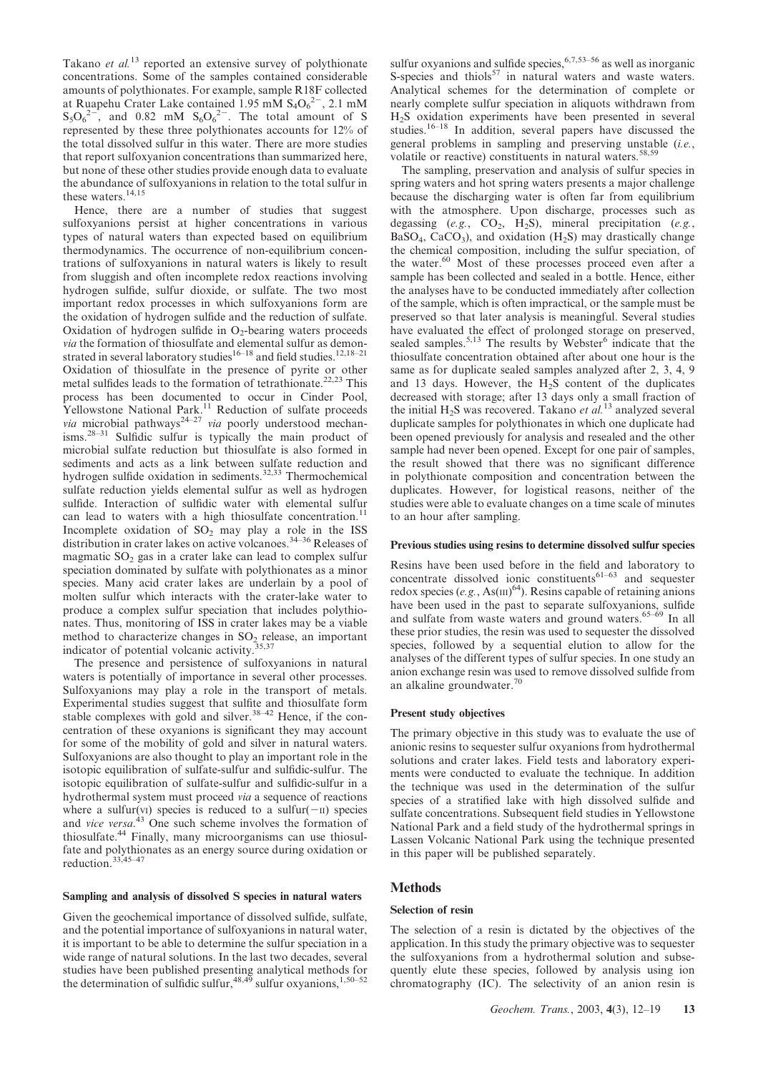Takano et al.<sup>13</sup> reported an extensive survey of polythionate concentrations. Some of the samples contained considerable amounts of polythionates. For example, sample R18F collected at Ruapehu Crater Lake contained  $1.95 \text{ mM } S_4O_6^{2-}$ , 2.1 mM  $S_5O_6^{2-}$ , and 0.82 mM  $S_6O_6^{2-}$ . The total amount of S represented by these three polythionates accounts for 12% of the total dissolved sulfur in this water. There are more studies that report sulfoxyanion concentrations than summarized here, but none of these other studies provide enough data to evaluate the abundance of sulfoxyanions in relation to the total sulfur in these waters.<sup>14,15</sup>

Hence, there are a number of studies that suggest sulfoxyanions persist at higher concentrations in various types of natural waters than expected based on equilibrium thermodynamics. The occurrence of non-equilibrium concentrations of sulfoxyanions in natural waters is likely to result from sluggish and often incomplete redox reactions involving hydrogen sulfide, sulfur dioxide, or sulfate. The two most important redox processes in which sulfoxyanions form are the oxidation of hydrogen sulfide and the reduction of sulfate. Oxidation of hydrogen sulfide in  $O_2$ -bearing waters proceeds via the formation of thiosulfate and elemental sulfur as demonstrated in several laboratory studies<sup>16–18</sup> and field studies.<sup>12,18–21</sup> Oxidation of thiosulfate in the presence of pyrite or other metal sulfides leads to the formation of tetrathionate.<sup>22,23</sup> This process has been documented to occur in Cinder Pool, Yellowstone National Park.<sup>11</sup> Reduction of sulfate proceeds via microbial pathways<sup>24-27</sup> via poorly understood mechanisms.28–31 Sulfidic sulfur is typically the main product of microbial sulfate reduction but thiosulfate is also formed in sediments and acts as a link between sulfate reduction and hydrogen sulfide oxidation in sediments.<sup>32,33</sup> Thermochemical sulfate reduction yields elemental sulfur as well as hydrogen sulfide. Interaction of sulfidic water with elemental sulfur can lead to waters with a high thiosulfate concentration.<sup>11</sup> Incomplete oxidation of  $SO_2$  may play a role in the ISS distribution in crater lakes on active volcanoes.<sup>34–36</sup> Releases of magmatic  $SO<sub>2</sub>$  gas in a crater lake can lead to complex sulfur speciation dominated by sulfate with polythionates as a minor species. Many acid crater lakes are underlain by a pool of molten sulfur which interacts with the crater-lake water to produce a complex sulfur speciation that includes polythionates. Thus, monitoring of ISS in crater lakes may be a viable method to characterize changes in  $SO_2$  release, an important indicator of potential volcanic activity. $35,37$ 

The presence and persistence of sulfoxyanions in natural waters is potentially of importance in several other processes. Sulfoxyanions may play a role in the transport of metals. Experimental studies suggest that sulfite and thiosulfate form stable complexes with gold and silver.<sup>38-42</sup> Hence, if the concentration of these oxyanions is significant they may account for some of the mobility of gold and silver in natural waters. Sulfoxyanions are also thought to play an important role in the isotopic equilibration of sulfate-sulfur and sulfidic-sulfur. The isotopic equilibration of sulfate-sulfur and sulfidic-sulfur in a hydrothermal system must proceed via a sequence of reactions where a sulfur(vI) species is reduced to a sulfur( $-\text{II}$ ) species and vice versa. $43$  One such scheme involves the formation of thiosulfate.<sup>44</sup> Finally, many microorganisms can use thiosulfate and polythionates as an energy source during oxidation or reduction.33,45–47

#### Sampling and analysis of dissolved S species in natural waters

Given the geochemical importance of dissolved sulfide, sulfate, and the potential importance of sulfoxyanions in natural water, it is important to be able to determine the sulfur speciation in a wide range of natural solutions. In the last two decades, several studies have been published presenting analytical methods for the determination of sulfidic sulfur,  $48,49$  sulfur oxyanions,  $1,50-52$ 

sulfur oxyanions and sulfide species,  $6,7,53-56$  as well as inorganic S-species and thiols<sup>57</sup> in natural waters and waste waters. Analytical schemes for the determination of complete or nearly complete sulfur speciation in aliquots withdrawn from H2S oxidation experiments have been presented in several studies.16–18 In addition, several papers have discussed the general problems in sampling and preserving unstable (i.e., volatile or reactive) constituents in natural waters.<sup>58,59</sup>

The sampling, preservation and analysis of sulfur species in spring waters and hot spring waters presents a major challenge because the discharging water is often far from equilibrium with the atmosphere. Upon discharge, processes such as degassing (e.g.,  $CO_2$ , H<sub>2</sub>S), mineral precipitation (e.g.,  $BaSO<sub>4</sub>$ ,  $CaCO<sub>3</sub>$ ), and oxidation (H<sub>2</sub>S) may drastically change the chemical composition, including the sulfur speciation, of the water. $60$  Most of these processes proceed even after a sample has been collected and sealed in a bottle. Hence, either the analyses have to be conducted immediately after collection of the sample, which is often impractical, or the sample must be preserved so that later analysis is meaningful. Several studies have evaluated the effect of prolonged storage on preserved, sealed samples.<sup>5,13</sup> The results by Webster<sup>6</sup> indicate that the thiosulfate concentration obtained after about one hour is the same as for duplicate sealed samples analyzed after 2, 3, 4, 9 and 13 days. However, the  $H_2S$  content of the duplicates decreased with storage; after 13 days only a small fraction of the initial H<sub>2</sub>S was recovered. Takano *et al.*<sup>13</sup> analyzed several duplicate samples for polythionates in which one duplicate had been opened previously for analysis and resealed and the other sample had never been opened. Except for one pair of samples, the result showed that there was no significant difference in polythionate composition and concentration between the duplicates. However, for logistical reasons, neither of the studies were able to evaluate changes on a time scale of minutes to an hour after sampling.

#### Previous studies using resins to determine dissolved sulfur species

Resins have been used before in the field and laboratory to concentrate dissolved ionic constituents $61-63$  and sequester redox species (e.g.,  $\text{As(m)}^{64}$ ). Resins capable of retaining anions have been used in the past to separate sulfoxyanions, sulfide and sulfate from waste waters and ground waters.65–69 In all these prior studies, the resin was used to sequester the dissolved species, followed by a sequential elution to allow for the analyses of the different types of sulfur species. In one study an anion exchange resin was used to remove dissolved sulfide from an alkaline groundwater.70

#### Present study objectives

The primary objective in this study was to evaluate the use of anionic resins to sequester sulfur oxyanions from hydrothermal solutions and crater lakes. Field tests and laboratory experiments were conducted to evaluate the technique. In addition the technique was used in the determination of the sulfur species of a stratified lake with high dissolved sulfide and sulfate concentrations. Subsequent field studies in Yellowstone National Park and a field study of the hydrothermal springs in Lassen Volcanic National Park using the technique presented in this paper will be published separately.

# **Methods**

#### Selection of resin

The selection of a resin is dictated by the objectives of the application. In this study the primary objective was to sequester the sulfoxyanions from a hydrothermal solution and subsequently elute these species, followed by analysis using ion chromatography (IC). The selectivity of an anion resin is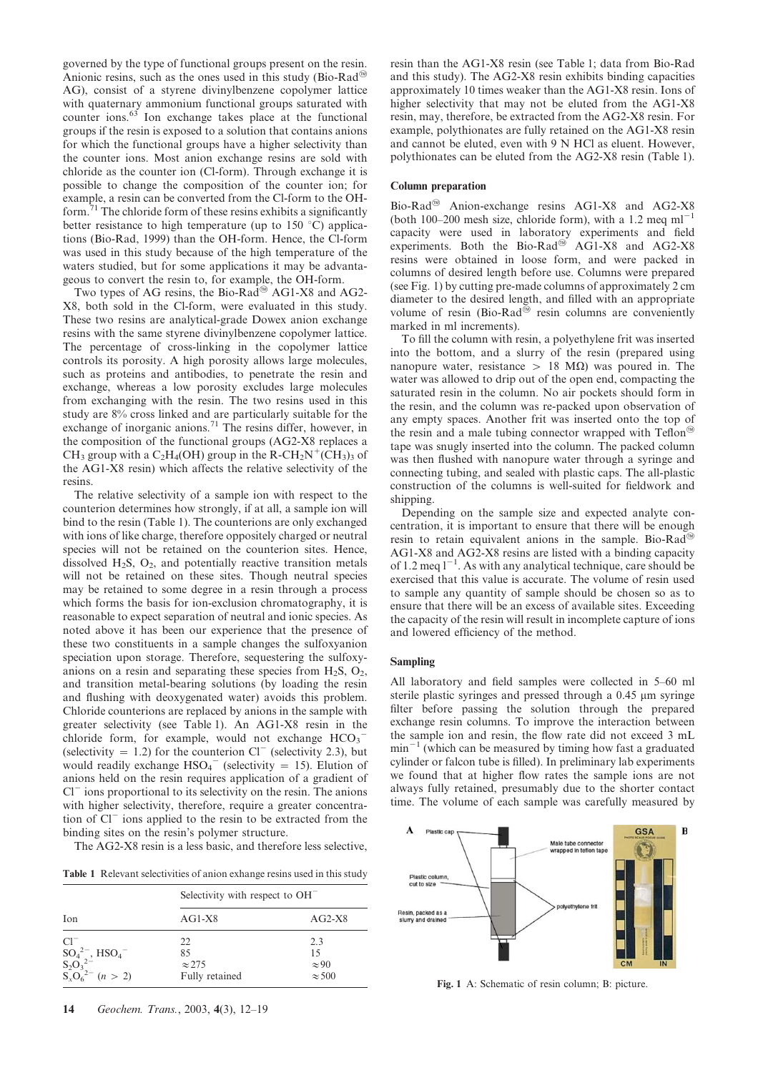governed by the type of functional groups present on the resin. Anionic resins, such as the ones used in this study (Bio-Rad<sup> $\omega$ </sup> AG), consist of a styrene divinylbenzene copolymer lattice with quaternary ammonium functional groups saturated with counter ions.<sup>63</sup> Ion exchange takes place at the functional groups if the resin is exposed to a solution that contains anions for which the functional groups have a higher selectivity than the counter ions. Most anion exchange resins are sold with chloride as the counter ion (Cl-form). Through exchange it is possible to change the composition of the counter ion; for example, a resin can be converted from the Cl-form to the OHform. $17$ <sup>1</sup> The chloride form of these resins exhibits a significantly better resistance to high temperature (up to  $150^{\circ}$ C) applications (Bio-Rad, 1999) than the OH-form. Hence, the Cl-form was used in this study because of the high temperature of the waters studied, but for some applications it may be advantageous to convert the resin to, for example, the OH-form.

Two types of AG resins, the Bio-Rad<sup>®</sup> AG1-X8 and AG2-X8, both sold in the Cl-form, were evaluated in this study. These two resins are analytical-grade Dowex anion exchange resins with the same styrene divinylbenzene copolymer lattice. The percentage of cross-linking in the copolymer lattice controls its porosity. A high porosity allows large molecules, such as proteins and antibodies, to penetrate the resin and exchange, whereas a low porosity excludes large molecules from exchanging with the resin. The two resins used in this study are 8% cross linked and are particularly suitable for the exchange of inorganic anions.<sup>71</sup> The resins differ, however, in the composition of the functional groups (AG2-X8 replaces a CH<sub>3</sub> group with a C<sub>2</sub>H<sub>4</sub>(OH) group in the R-CH<sub>2</sub>N<sup>+</sup>(CH<sub>3</sub>)<sub>3</sub> of the AG1-X8 resin) which affects the relative selectivity of the resins.

The relative selectivity of a sample ion with respect to the counterion determines how strongly, if at all, a sample ion will bind to the resin (Table 1). The counterions are only exchanged with ions of like charge, therefore oppositely charged or neutral species will not be retained on the counterion sites. Hence, dissolved  $H_2S$ ,  $O_2$ , and potentially reactive transition metals will not be retained on these sites. Though neutral species may be retained to some degree in a resin through a process which forms the basis for ion-exclusion chromatography, it is reasonable to expect separation of neutral and ionic species. As noted above it has been our experience that the presence of these two constituents in a sample changes the sulfoxyanion speciation upon storage. Therefore, sequestering the sulfoxyanions on a resin and separating these species from  $H_2S$ ,  $O_2$ , and transition metal-bearing solutions (by loading the resin and flushing with deoxygenated water) avoids this problem. Chloride counterions are replaced by anions in the sample with greater selectivity (see Table 1). An AG1-X8 resin in the chloride form, for example, would not exchange  $HCO_3^-$ (selectivity  $= 1.2$ ) for the counterion Cl<sup>-</sup> (selectivity 2.3), but would readily exchange  $HSO_4$ <sup>-</sup> (selectivity = 15). Elution of anions held on the resin requires application of a gradient of  $Cl<sup>-</sup>$  ions proportional to its selectivity on the resin. The anions with higher selectivity, therefore, require a greater concentration of  $CI<sup>-</sup>$  ions applied to the resin to be extracted from the binding sites on the resin's polymer structure.

The AG2-X8 resin is a less basic, and therefore less selective,

Table 1 Relevant selectivities of anion exhange resins used in this study

|                                                                                                                                                               | Selectivity with respect to OH <sup>-</sup> |                                            |  |  |
|---------------------------------------------------------------------------------------------------------------------------------------------------------------|---------------------------------------------|--------------------------------------------|--|--|
| Ion                                                                                                                                                           | $AG1-X8$                                    | $AG2-X8$                                   |  |  |
| $Cl^{-}$<br>$SO_4^{2-}$ , HSO <sub>4</sub> <sup>-</sup><br>S <sub>2</sub> O <sub>3</sub> <sup>2-</sup><br>S <sub>x</sub> O <sub>6</sub> <sup>2-</sup> (n > 2) | 22<br>85<br>$\approx$ 275<br>Fully retained | 2.3<br>15<br>$\approx 90$<br>$\approx$ 500 |  |  |

resin than the AG1-X8 resin (see Table 1; data from Bio-Rad and this study). The AG2-X8 resin exhibits binding capacities approximately 10 times weaker than the AG1-X8 resin. Ions of higher selectivity that may not be eluted from the AG1-X8 resin, may, therefore, be extracted from the AG2-X8 resin. For example, polythionates are fully retained on the AG1-X8 resin and cannot be eluted, even with 9 N HCl as eluent. However, polythionates can be eluted from the AG2-X8 resin (Table 1).

### Column preparation

Bio-Rad<sup>®</sup> Anion-exchange resins AG1-X8 and AG2-X8 (both 100–200 mesh size, chloride form), with a 1.2 meq  $ml^{-1}$ capacity were used in laboratory experiments and field experiments. Both the Bio-Rad<sup>®</sup> AG1-X8 and AG2-X8 resins were obtained in loose form, and were packed in columns of desired length before use. Columns were prepared (see Fig. 1) by cutting pre-made columns of approximately 2 cm diameter to the desired length, and filled with an appropriate volume of resin (Bio-Rad $\overline{^{60}}$  resin columns are conveniently marked in ml increments).

To fill the column with resin, a polyethylene frit was inserted into the bottom, and a slurry of the resin (prepared using nanopure water, resistance  $> 18$  M $\Omega$ ) was poured in. The water was allowed to drip out of the open end, compacting the saturated resin in the column. No air pockets should form in the resin, and the column was re-packed upon observation of any empty spaces. Another frit was inserted onto the top of the resin and a male tubing connector wrapped with  $Teflon^{\omega}$ tape was snugly inserted into the column. The packed column was then flushed with nanopure water through a syringe and connecting tubing, and sealed with plastic caps. The all-plastic construction of the columns is well-suited for fieldwork and shipping.

Depending on the sample size and expected analyte concentration, it is important to ensure that there will be enough resin to retain equivalent anions in the sample. Bio-Rad<sup>®</sup> AG1-X8 and AG2-X8 resins are listed with a binding capacity of 1.2 meq  $1^{-1}$ . As with any analytical technique, care should be exercised that this value is accurate. The volume of resin used to sample any quantity of sample should be chosen so as to ensure that there will be an excess of available sites. Exceeding the capacity of the resin will result in incomplete capture of ions and lowered efficiency of the method.

## Sampling

All laboratory and field samples were collected in 5–60 ml sterile plastic syringes and pressed through a 0.45 µm syringe filter before passing the solution through the prepared exchange resin columns. To improve the interaction between the sample ion and resin, the flow rate did not exceed 3 mL  $min^{-1}$  (which can be measured by timing how fast a graduated cylinder or falcon tube is filled). In preliminary lab experiments we found that at higher flow rates the sample ions are not always fully retained, presumably due to the shorter contact time. The volume of each sample was carefully measured by



Fig. 1 A: Schematic of resin column; B: picture.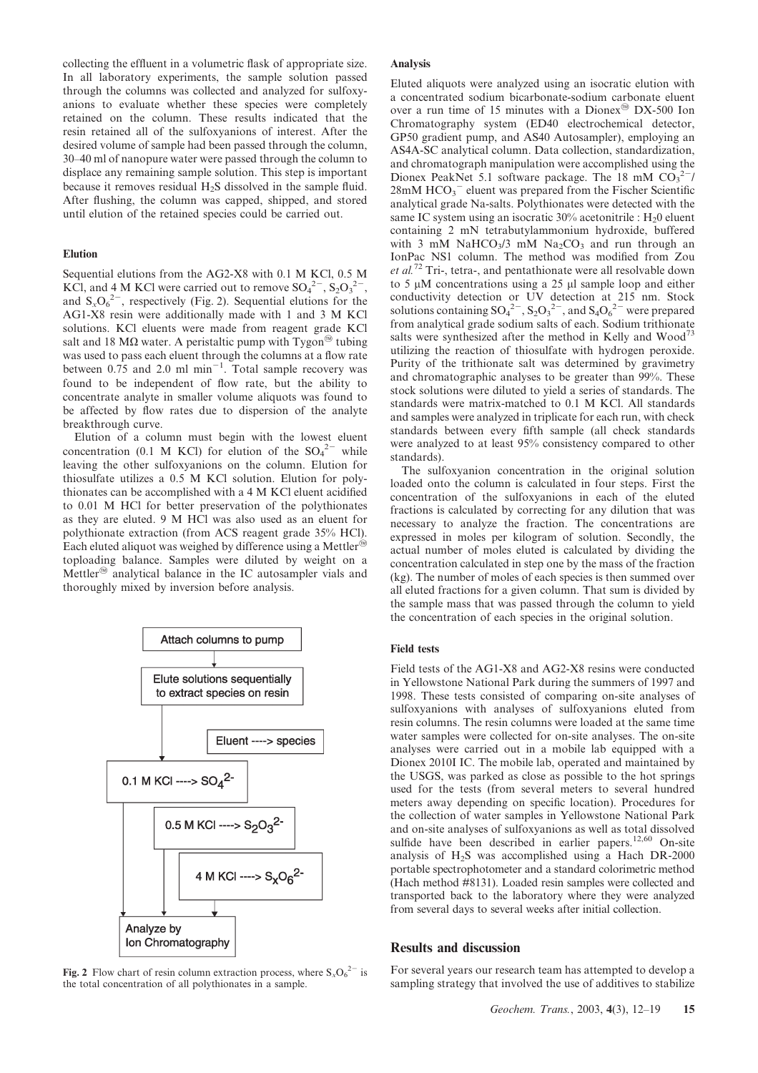collecting the effluent in a volumetric flask of appropriate size. In all laboratory experiments, the sample solution passed through the columns was collected and analyzed for sulfoxyanions to evaluate whether these species were completely retained on the column. These results indicated that the resin retained all of the sulfoxyanions of interest. After the desired volume of sample had been passed through the column, 30–40 ml of nanopure water were passed through the column to displace any remaining sample solution. This step is important because it removes residual  $H_2S$  dissolved in the sample fluid. After flushing, the column was capped, shipped, and stored until elution of the retained species could be carried out.

#### Elution

Sequential elutions from the AG2-X8 with 0.1 M KCl, 0.5 M KCl, and 4 M KCl were carried out to remove  $SO_4^2$ <sup>-</sup>,  $S_2O_3^2$ <sup>-</sup>, and  $S_xO_6^{2-}$ , respectively (Fig. 2). Sequential elutions for the AG1-X8 resin were additionally made with 1 and 3 M KCl solutions. KCl eluents were made from reagent grade KCl salt and 18 M $\Omega$  water. A peristaltic pump with Tygon<sup>®</sup> tubing was used to pass each eluent through the columns at a flow rate between 0.75 and 2.0 ml  $\text{min}^{-1}$ . Total sample recovery was found to be independent of flow rate, but the ability to concentrate analyte in smaller volume aliquots was found to be affected by flow rates due to dispersion of the analyte breakthrough curve.

Elution of a column must begin with the lowest eluent concentration (0.1 M KCl) for elution of the  $SO_4^{2-}$  while leaving the other sulfoxyanions on the column. Elution for thiosulfate utilizes a 0.5 M KCl solution. Elution for polythionates can be accomplished with a 4 M KCl eluent acidified to 0.01 M HCl for better preservation of the polythionates as they are eluted. 9 M HCl was also used as an eluent for polythionate extraction (from ACS reagent grade 35% HCl). Each eluted aliquot was weighed by difference using a Mettler<sup>®</sup> toploading balance. Samples were diluted by weight on a Mettler<sup>®</sup> analytical balance in the IC autosampler vials and thoroughly mixed by inversion before analysis.



Fig. 2 Flow chart of resin column extraction process, where  $S_xO_6^{2-}$  is the total concentration of all polythionates in a sample.

### Analysis

Eluted aliquots were analyzed using an isocratic elution with a concentrated sodium bicarbonate-sodium carbonate eluent over a run time of 15 minutes with a Dionex<sup>®</sup> DX-500 Ion Chromatography system (ED40 electrochemical detector, GP50 gradient pump, and AS40 Autosampler), employing an AS4A-SC analytical column. Data collection, standardization, and chromatograph manipulation were accomplished using the Dionex PeakNet 5.1 software package. The 18 mM  $CO_3^2$ <sup>-</sup>/  $28 \text{m}$ M HCO<sub>3</sub><sup>-</sup> eluent was prepared from the Fischer Scientific analytical grade Na-salts. Polythionates were detected with the same IC system using an isocratic  $30\%$  acetonitrile : H<sub>2</sub>0 eluent containing 2 mN tetrabutylammonium hydroxide, buffered with 3 mM NaHCO<sub>3</sub>/3 mM Na<sub>2</sub>CO<sub>3</sub> and run through an IonPac NS1 column. The method was modified from Zou et al.<sup>72</sup> Tri-, tetra-, and pentathionate were all resolvable down to 5  $\mu$ M concentrations using a 25  $\mu$ l sample loop and either conductivity detection or UV detection at 215 nm. Stock solutions containing  $SO_4^2$ <sup>-</sup>,  $S_2O_3^2$ <sup>-</sup>, and  $S_4O_6^2$ <sup>-</sup> were prepared from analytical grade sodium salts of each. Sodium trithionate salts were synthesized after the method in Kelly and Wood<sup>73</sup> utilizing the reaction of thiosulfate with hydrogen peroxide. Purity of the trithionate salt was determined by gravimetry and chromatographic analyses to be greater than 99%. These stock solutions were diluted to yield a series of standards. The standards were matrix-matched to 0.1 M KCl. All standards and samples were analyzed in triplicate for each run, with check standards between every fifth sample (all check standards were analyzed to at least 95% consistency compared to other standards).

The sulfoxyanion concentration in the original solution loaded onto the column is calculated in four steps. First the concentration of the sulfoxyanions in each of the eluted fractions is calculated by correcting for any dilution that was necessary to analyze the fraction. The concentrations are expressed in moles per kilogram of solution. Secondly, the actual number of moles eluted is calculated by dividing the concentration calculated in step one by the mass of the fraction (kg). The number of moles of each species is then summed over all eluted fractions for a given column. That sum is divided by the sample mass that was passed through the column to yield the concentration of each species in the original solution.

## Field tests

Field tests of the AG1-X8 and AG2-X8 resins were conducted in Yellowstone National Park during the summers of 1997 and 1998. These tests consisted of comparing on-site analyses of sulfoxyanions with analyses of sulfoxyanions eluted from resin columns. The resin columns were loaded at the same time water samples were collected for on-site analyses. The on-site analyses were carried out in a mobile lab equipped with a Dionex 2010I IC. The mobile lab, operated and maintained by the USGS, was parked as close as possible to the hot springs used for the tests (from several meters to several hundred meters away depending on specific location). Procedures for the collection of water samples in Yellowstone National Park and on-site analyses of sulfoxyanions as well as total dissolved sulfide have been described in earlier papers.<sup>12,60</sup> On-site analysis of  $H_2S$  was accomplished using a Hach DR-2000 portable spectrophotometer and a standard colorimetric method (Hach method #8131). Loaded resin samples were collected and transported back to the laboratory where they were analyzed from several days to several weeks after initial collection.

## Results and discussion

For several years our research team has attempted to develop a sampling strategy that involved the use of additives to stabilize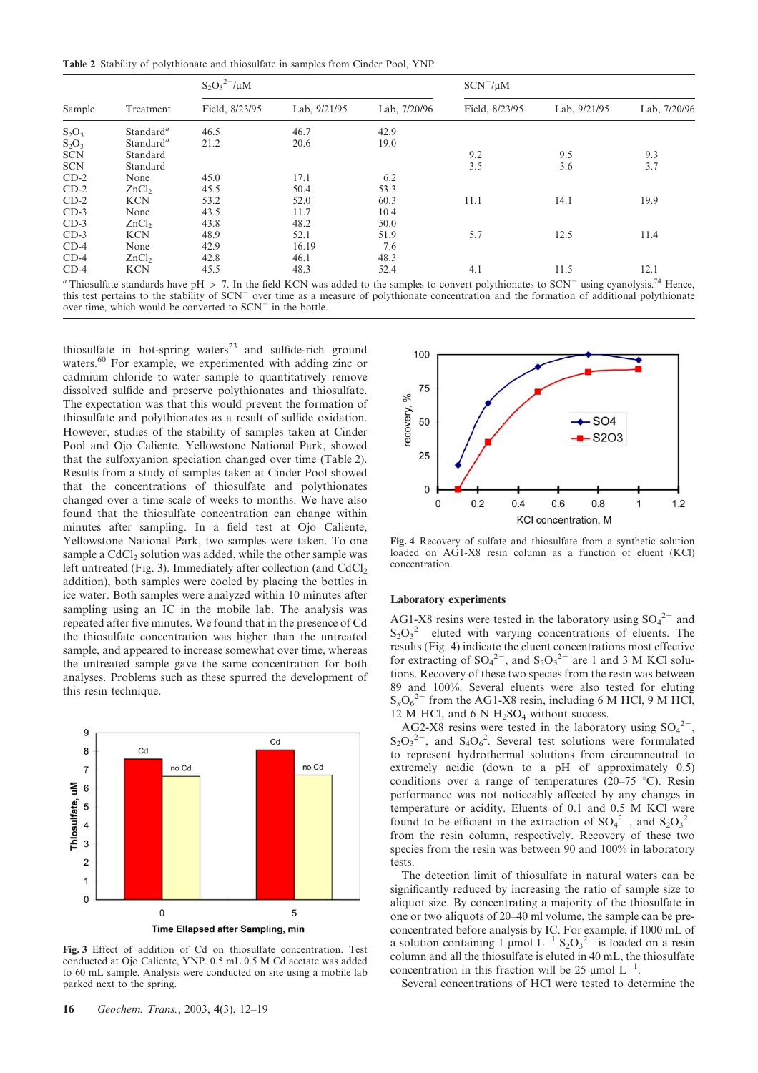Table 2 Stability of polythionate and thiosulfate in samples from Cinder Pool, YNP

| Sample     | Treatment             | $S_2O_3^{2-}/\mu M$ |              |              | $SCN^{-}/\mu M$ |              |                          |
|------------|-----------------------|---------------------|--------------|--------------|-----------------|--------------|--------------------------|
|            |                       | Field, 8/23/95      | Lab, 9/21/95 | Lab, 7/20/96 | Field, 8/23/95  | Lab, 9/21/95 | Lab, 7/20/96             |
| $S_2O_3$   | Standard <sup>a</sup> | 46.5                | 46.7         | 42.9         |                 |              |                          |
| $S_2O_3$   | Standard <sup>a</sup> | 21.2                | 20.6         | 19.0         |                 |              |                          |
| <b>SCN</b> | Standard              |                     |              |              | 9.2             | 9.5          | 9.3                      |
| <b>SCN</b> | Standard              |                     |              |              | 3.5             | 3.6          | 3.7                      |
| $CD-2$     | None                  | 45.0                | 17.1         | 6.2          |                 |              |                          |
| $CD-2$     | ZnCl <sub>2</sub>     | 45.5                | 50.4         | 53.3         |                 |              |                          |
| $CD-2$     | <b>KCN</b>            | 53.2                | 52.0         | 60.3         | 11.1            | 14.1         | 19.9                     |
| $CD-3$     | None                  | 43.5                | 11.7         | 10.4         |                 |              |                          |
| $CD-3$     | ZnCl <sub>2</sub>     | 43.8                | 48.2         | 50.0         |                 |              |                          |
| $CD-3$     | <b>KCN</b>            | 48.9                | 52.1         | 51.9         | 5.7             | 12.5         | 11.4                     |
| $CD-4$     | None                  | 42.9                | 16.19        | 7.6          |                 |              |                          |
| $CD-4$     | ZnCl <sub>2</sub>     | 42.8                | 46.1         | 48.3         |                 |              |                          |
| $CD-4$     | <b>KCN</b>            | 45.5                | 48.3         | 52.4         | 4.1             | 11.5         | 12.1<br>$\sim 74$ $\sim$ |

<sup>a</sup> Thiosulfate standards have pH  $>$  7. In the field KCN was added to the samples to convert polythionates to SCN<sup>-</sup> using cyanolysis.<sup>74</sup> Hence, this test pertains to the stability of SCN<sup>-</sup> over time as a measure of polythionate concentration and the formation of additional polythionate over time, which would be converted to  $SCN$ <sup>-</sup> in the bottle.

thiosulfate in hot-spring waters<sup>23</sup> and sulfide-rich ground waters.<sup>60</sup> For example, we experimented with adding zinc or cadmium chloride to water sample to quantitatively remove dissolved sulfide and preserve polythionates and thiosulfate. The expectation was that this would prevent the formation of thiosulfate and polythionates as a result of sulfide oxidation. However, studies of the stability of samples taken at Cinder Pool and Ojo Caliente, Yellowstone National Park, showed that the sulfoxyanion speciation changed over time (Table 2). Results from a study of samples taken at Cinder Pool showed that the concentrations of thiosulfate and polythionates changed over a time scale of weeks to months. We have also found that the thiosulfate concentration can change within minutes after sampling. In a field test at Ojo Caliente, Yellowstone National Park, two samples were taken. To one sample a CdCl<sub>2</sub> solution was added, while the other sample was left untreated (Fig. 3). Immediately after collection (and  $CdCl<sub>2</sub>$ ) addition), both samples were cooled by placing the bottles in ice water. Both samples were analyzed within 10 minutes after sampling using an IC in the mobile lab. The analysis was repeated after five minutes. We found that in the presence of Cd the thiosulfate concentration was higher than the untreated sample, and appeared to increase somewhat over time, whereas the untreated sample gave the same concentration for both analyses. Problems such as these spurred the development of this resin technique.



Fig. 3 Effect of addition of Cd on thiosulfate concentration. Test conducted at Ojo Caliente, YNP. 0.5 mL 0.5 M Cd acetate was added to 60 mL sample. Analysis were conducted on site using a mobile lab parked next to the spring.



Fig. 4 Recovery of sulfate and thiosulfate from a synthetic solution loaded on AG1-X8 resin column as a function of eluent (KCl) concentration.

#### Laboratory experiments

AG1-X8 resins were tested in the laboratory using  $SO_4^2$  and  $S_2O_3^2$  eluted with varying concentrations of eluents. The results (Fig. 4) indicate the eluent concentrations most effective for extracting of  $SO_4^2$ , and  $S_2O_3^2$  are 1 and 3 M KCl solutions. Recovery of these two species from the resin was between 89 and 100%. Several eluents were also tested for eluting  $S_xO_6^{2-}$  from the AG1-X8 resin, including 6 M HCl, 9 M HCl,  $12$  M HCl, and 6 N H<sub>2</sub>SO<sub>4</sub> without success.

AG2-X8 resins were tested in the laboratory using  $SO_4^2$ <sup>-</sup>,  $S_2O_3^{2-}$ , and  $S_4O_6^{2}$ . Several test solutions were formulated to represent hydrothermal solutions from circumneutral to extremely acidic (down to a pH of approximately 0.5) conditions over a range of temperatures (20–75 °C). Resin performance was not noticeably affected by any changes in temperature or acidity. Eluents of 0.1 and 0.5 M KCl were found to be efficient in the extraction of  $SO_4^2$ , and  $S_2O_3^2$ from the resin column, respectively. Recovery of these two species from the resin was between 90 and 100% in laboratory tests.

The detection limit of thiosulfate in natural waters can be significantly reduced by increasing the ratio of sample size to aliquot size. By concentrating a majority of the thiosulfate in one or two aliquots of 20–40 ml volume, the sample can be preconcentrated before analysis by IC. For example, if 1000 mL of a solution containing 1 µmol  $L^{-1}$  S<sub>2</sub>O<sub>3</sub><sup>2-</sup> is loaded on a resin column and all the thiosulfate is eluted in 40 mL, the thiosulfate concentration in this fraction will be 25  $\mu$ mol L<sup>-1</sup>.

Several concentrations of HCl were tested to determine the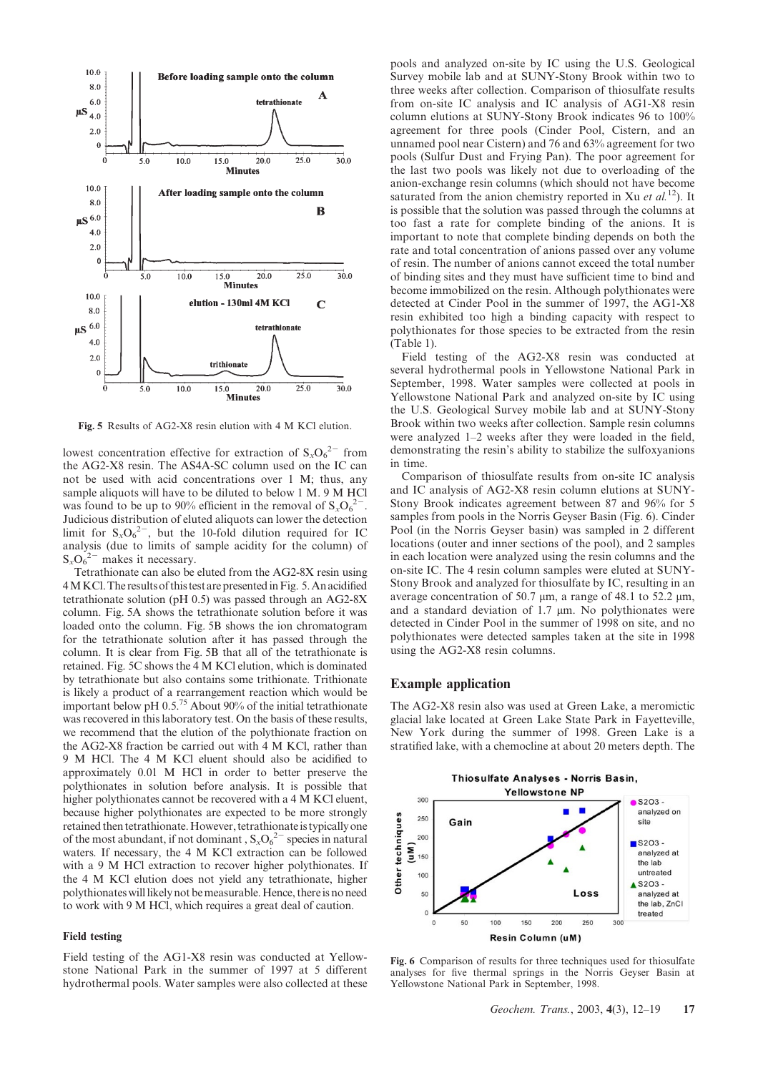

Fig. 5 Results of AG2-X8 resin elution with 4 M KCl elution.

lowest concentration effective for extraction of  $S_xO_6^{2-}$  from the AG2-X8 resin. The AS4A-SC column used on the IC can not be used with acid concentrations over 1 M; thus, any sample aliquots will have to be diluted to below 1 M. 9 M HCl was found to be up to 90% efficient in the removal of  $S_xO_6^{2-}$ . Judicious distribution of eluted aliquots can lower the detection limit for  $S_xO_6^{2-}$ , but the 10-fold dilution required for IC analysis (due to limits of sample acidity for the column) of  $S_xO_6^{2-}$  makes it necessary.

Tetrathionate can also be eluted from the AG2-8X resin using 4MKCl.The resultsof this test are presentedinFig. 5.An acidified tetrathionate solution (pH 0.5) was passed through an AG2-8X column. Fig. 5A shows the tetrathionate solution before it was loaded onto the column. Fig. 5B shows the ion chromatogram for the tetrathionate solution after it has passed through the column. It is clear from Fig. 5B that all of the tetrathionate is retained. Fig. 5C shows the 4 M KCl elution, which is dominated by tetrathionate but also contains some trithionate. Trithionate is likely a product of a rearrangement reaction which would be important below pH  $0.5^{75}$  About 90% of the initial tetrathionate was recovered in this laboratory test. On the basis of these results, we recommend that the elution of the polythionate fraction on the AG2-X8 fraction be carried out with 4 M KCl, rather than 9 M HCl. The 4 M KCl eluent should also be acidified to approximately 0.01 M HCl in order to better preserve the polythionates in solution before analysis. It is possible that higher polythionates cannot be recovered with a 4 M KCl eluent, because higher polythionates are expected to be more strongly retained then tetrathionate. However, tetrathionate is typically one of the most abundant, if not dominant,  $S_xO_6^{2-}$  species in natural waters. If necessary, the 4 M KCl extraction can be followed with a 9 M HCl extraction to recover higher polythionates. If the 4 M KCl elution does not yield any tetrathionate, higher polythionates willlikely not be measurable. Hence, thereis no need to work with 9 M HCl, which requires a great deal of caution.

### Field testing

Field testing of the AG1-X8 resin was conducted at Yellowstone National Park in the summer of 1997 at 5 different hydrothermal pools. Water samples were also collected at these

pools and analyzed on-site by IC using the U.S. Geological Survey mobile lab and at SUNY-Stony Brook within two to three weeks after collection. Comparison of thiosulfate results from on-site IC analysis and IC analysis of AG1-X8 resin column elutions at SUNY-Stony Brook indicates 96 to 100% agreement for three pools (Cinder Pool, Cistern, and an unnamed pool near Cistern) and 76 and 63% agreement for two pools (Sulfur Dust and Frying Pan). The poor agreement for the last two pools was likely not due to overloading of the anion-exchange resin columns (which should not have become saturated from the anion chemistry reported in Xu *et al.*<sup>12</sup>). It is possible that the solution was passed through the columns at too fast a rate for complete binding of the anions. It is important to note that complete binding depends on both the rate and total concentration of anions passed over any volume of resin. The number of anions cannot exceed the total number of binding sites and they must have sufficient time to bind and become immobilized on the resin. Although polythionates were detected at Cinder Pool in the summer of 1997, the AG1-X8 resin exhibited too high a binding capacity with respect to polythionates for those species to be extracted from the resin (Table 1).

Field testing of the AG2-X8 resin was conducted at several hydrothermal pools in Yellowstone National Park in September, 1998. Water samples were collected at pools in Yellowstone National Park and analyzed on-site by IC using the U.S. Geological Survey mobile lab and at SUNY-Stony Brook within two weeks after collection. Sample resin columns were analyzed 1–2 weeks after they were loaded in the field, demonstrating the resin's ability to stabilize the sulfoxyanions in time.

Comparison of thiosulfate results from on-site IC analysis and IC analysis of AG2-X8 resin column elutions at SUNY-Stony Brook indicates agreement between 87 and 96% for 5 samples from pools in the Norris Geyser Basin (Fig. 6). Cinder Pool (in the Norris Geyser basin) was sampled in 2 different locations (outer and inner sections of the pool), and 2 samples in each location were analyzed using the resin columns and the on-site IC. The 4 resin column samples were eluted at SUNY-Stony Brook and analyzed for thiosulfate by IC, resulting in an average concentration of 50.7  $\mu$ m, a range of 48.1 to 52.2  $\mu$ m, and a standard deviation of  $1.7 \mu m$ . No polythionates were detected in Cinder Pool in the summer of 1998 on site, and no polythionates were detected samples taken at the site in 1998 using the AG2-X8 resin columns.

#### Example application

The AG2-X8 resin also was used at Green Lake, a meromictic glacial lake located at Green Lake State Park in Fayetteville, New York during the summer of 1998. Green Lake is a stratified lake, with a chemocline at about 20 meters depth. The



Fig. 6 Comparison of results for three techniques used for thiosulfate analyses for five thermal springs in the Norris Geyser Basin at Yellowstone National Park in September, 1998.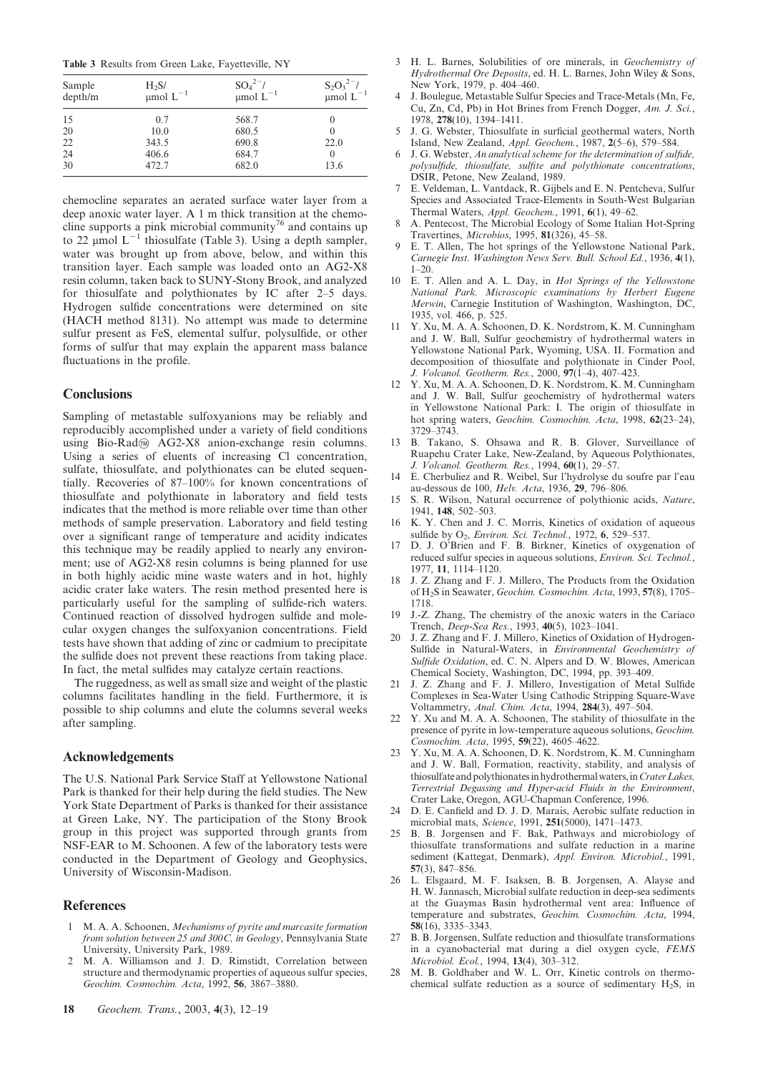Table 3 Results from Green Lake, Fayetteville, NY

| Sample<br>depth/m | $H_2S/$<br>$\mu$ mol $L^{-1}$ | $SO_4^{2-}$ /<br>$\mu$ mol $L^{-1}$ | $S_2O_3^{2-}/$<br>µmol L <sup>-1</sup> |  |
|-------------------|-------------------------------|-------------------------------------|----------------------------------------|--|
| 15                | 0.7                           | 568.7                               | $\theta$                               |  |
| 20                | 10.0                          | 680.5                               | $\theta$                               |  |
| 22                | 343.5                         | 690.8                               | 22.0                                   |  |
| 24                | 406.6                         | 684.7                               | 0                                      |  |
| 30                | 472.7                         | 682.0                               | 13.6                                   |  |

chemocline separates an aerated surface water layer from a deep anoxic water layer. A 1 m thick transition at the chemocline supports a pink microbial community<sup>76</sup> and contains up to 22  $\mu$ mol L<sup>-1</sup> thiosulfate (Table 3). Using a depth sampler, water was brought up from above, below, and within this transition layer. Each sample was loaded onto an AG2-X8 resin column, taken back to SUNY-Stony Brook, and analyzed for thiosulfate and polythionates by IC after 2–5 days. Hydrogen sulfide concentrations were determined on site (HACH method 8131). No attempt was made to determine sulfur present as FeS, elemental sulfur, polysulfide, or other forms of sulfur that may explain the apparent mass balance fluctuations in the profile.

### **Conclusions**

Sampling of metastable sulfoxyanions may be reliably and reproducibly accomplished under a variety of field conditions using Bio-Rad $\textcircled{m}$  AG2-X8 anion-exchange resin columns. Using a series of eluents of increasing Cl concentration, sulfate, thiosulfate, and polythionates can be eluted sequentially. Recoveries of 87–100% for known concentrations of thiosulfate and polythionate in laboratory and field tests indicates that the method is more reliable over time than other methods of sample preservation. Laboratory and field testing over a significant range of temperature and acidity indicates this technique may be readily applied to nearly any environment; use of AG2-X8 resin columns is being planned for use in both highly acidic mine waste waters and in hot, highly acidic crater lake waters. The resin method presented here is particularly useful for the sampling of sulfide-rich waters. Continued reaction of dissolved hydrogen sulfide and molecular oxygen changes the sulfoxyanion concentrations. Field tests have shown that adding of zinc or cadmium to precipitate the sulfide does not prevent these reactions from taking place. In fact, the metal sulfides may catalyze certain reactions.

The ruggedness, as well as small size and weight of the plastic columns facilitates handling in the field. Furthermore, it is possible to ship columns and elute the columns several weeks after sampling.

# Acknowledgements

The U.S. National Park Service Staff at Yellowstone National Park is thanked for their help during the field studies. The New York State Department of Parks is thanked for their assistance at Green Lake, NY. The participation of the Stony Brook group in this project was supported through grants from NSF-EAR to M. Schoonen. A few of the laboratory tests were conducted in the Department of Geology and Geophysics, University of Wisconsin-Madison.

#### **References**

- M. A. A. Schoonen, Mechanisms of pyrite and marcasite formation from solution between 25 and 300C, in Geology, Pennsylvania State University, University Park, 1989.
- 2 M. A. Williamson and J. D. Rimstidt, Correlation between structure and thermodynamic properties of aqueous sulfur species, Geochim. Cosmochim. Acta, 1992, 56, 3867–3880.
- 3 H. L. Barnes, Solubilities of ore minerals, in Geochemistry of Hydrothermal Ore Deposits, ed. H. L. Barnes, John Wiley & Sons, New York, 1979, p. 404–460.
- 4 J. Boulegue, Metastable Sulfur Species and Trace-Metals (Mn, Fe, Cu, Zn, Cd, Pb) in Hot Brines from French Dogger, Am. J. Sci., 1978, 278(10), 1394–1411.
- 5 J. G. Webster, Thiosulfate in surficial geothermal waters, North Island, New Zealand, Appl. Geochem., 1987, 2(5–6), 579–584.
- 6 J. G. Webster, An analytical scheme for the determination of sulfide, polysulfide, thiosulfate, sulfite and polythionate concentrations, DSIR, Petone, New Zealand, 1989.
- 7 E. Veldeman, L. Vantdack, R. Gijbels and E. N. Pentcheva, Sulfur Species and Associated Trace-Elements in South-West Bulgarian Thermal Waters, Appl. Geochem., 1991, 6(1), 49–62.
- 8 A. Pentecost, The Microbial Ecology of Some Italian Hot-Spring Travertines, Microbios, 1995, 81(326), 45–58.
- 9 E. T. Allen, The hot springs of the Yellowstone National Park, Carnegie Inst. Washington News Serv. Bull. School Ed., 1936, 4(1),  $1 - 20.$
- 10 E. T. Allen and A. L. Day, in Hot Springs of the Yellowstone National Park. Microscopic examinations by Herbert Eugene Merwin, Carnegie Institution of Washington, Washington, DC, 1935, vol. 466, p. 525.
- 11 Y. Xu, M. A. A. Schoonen, D. K. Nordstrom, K. M. Cunningham and J. W. Ball, Sulfur geochemistry of hydrothermal waters in Yellowstone National Park, Wyoming, USA. II. Formation and decomposition of thiosulfate and polythionate in Cinder Pool, J. Volcanol. Geotherm. Res., 2000, 97(1–4), 407–423.
- 12 Y. Xu, M. A. A. Schoonen, D. K. Nordstrom, K. M. Cunningham and J. W. Ball, Sulfur geochemistry of hydrothermal waters in Yellowstone National Park: I. The origin of thiosulfate in hot spring waters, Geochim. Cosmochim. Acta, 1998, 62(23–24), 3729–3743.
- 13 B. Takano, S. Ohsawa and R. B. Glover, Surveillance of Ruapehu Crater Lake, New-Zealand, by Aqueous Polythionates, J. Volcanol. Geotherm. Res., 1994, 60(1), 29–57.
- 14 E. Cherbuliez and R. Weibel, Sur l'hydrolyse du soufre par l'eau au-dessous de 100, Helv. Acta, 1936, 29, 796–806.
- 15 S. R. Wilson, Natural occurrence of polythionic acids, Nature, 1941, 148, 502–503.
- 16 K. Y. Chen and J. C. Morris, Kinetics of oxidation of aqueous sulfide by O<sub>2</sub>, *Environ. Sci. Technol.*, 1972, 6, 529-537.
- 17 D. J. O'Brien and F. B. Birkner, Kinetics of oxygenation of reduced sulfur species in aqueous solutions, Environ. Sci. Technol., 1977, 11, 1114–1120.
- 18 J. Z. Zhang and F. J. Millero, The Products from the Oxidation of H2S in Seawater, Geochim. Cosmochim. Acta, 1993, 57(8), 1705– 1718.
- 19 J.-Z. Zhang, The chemistry of the anoxic waters in the Cariaco Trench, Deep-Sea Res., 1993, 40(5), 1023–1041.
- 20 J. Z. Zhang and F. J. Millero, Kinetics of Oxidation of Hydrogen-Sulfide in Natural-Waters, in Environmental Geochemistry of Sulfide Oxidation, ed. C. N. Alpers and D. W. Blowes, American Chemical Society, Washington, DC, 1994, pp. 393–409.
- 21 J. Z. Zhang and F. J. Millero, Investigation of Metal Sulfide Complexes in Sea-Water Using Cathodic Stripping Square-Wave Voltammetry, Anal. Chim. Acta, 1994, 284(3), 497-504
- 22 Y. Xu and M. A. A. Schoonen, The stability of thiosulfate in the presence of pyrite in low-temperature aqueous solutions, Geochim. Cosmochim. Acta, 1995, 59(22), 4605–4622.
- 23 Y. Xu, M. A. A. Schoonen, D. K. Nordstrom, K. M. Cunningham and J. W. Ball, Formation, reactivity, stability, and analysis of thiosulfate and polythionates in hydrothermal waters, in Crater Lakes, Terrestrial Degassing and Hyper-acid Fluids in the Environment, Crater Lake, Oregon, AGU-Chapman Conference, 1996.
- 24 D. E. Canfield and D. J. D. Marais, Aerobic sulfate reduction in microbial mats, Science, 1991, 251(5000), 1471–1473.
- B. B. Jorgensen and F. Bak, Pathways and microbiology of thiosulfate transformations and sulfate reduction in a marine sediment (Kattegat, Denmark), Appl. Environ. Microbiol., 1991, 57(3), 847–856.
- 26 L. Elsgaard, M. F. Isaksen, B. B. Jorgensen, A. Alayse and H. W. Jannasch, Microbial sulfate reduction in deep-sea sediments at the Guaymas Basin hydrothermal vent area: Influence of temperature and substrates, Geochim. Cosmochim. Acta, 1994, 58(16), 3335–3343.
- 27 B. B. Jorgensen, Sulfate reduction and thiosulfate transformations in a cyanobacterial mat during a diel oxygen cycle, FEMS Microbiol. Ecol., 1994, 13(4), 303–312.
- 28 M. B. Goldhaber and W. L. Orr, Kinetic controls on thermochemical sulfate reduction as a source of sedimentary H2S, in